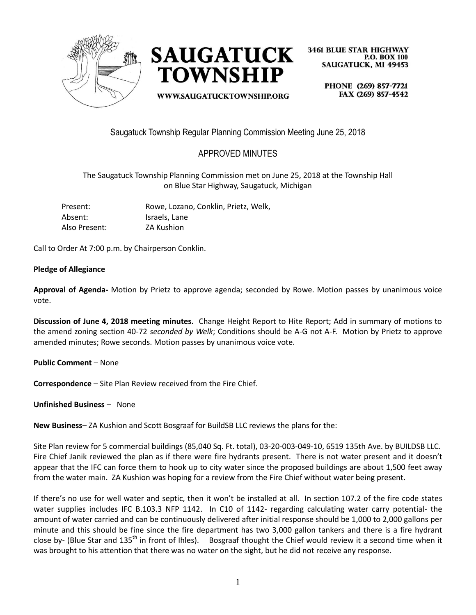



WWW.SAUGATUCKTOWNSHIP.ORG

**3461 BLUE STAR HIGHWAY P.O. BOX 100 SAUGATUCK, MI 49453** 

> PHONE (269) 857-7721 FAX (269) 857-4542

Saugatuck Township Regular Planning Commission Meeting June 25, 2018

# APPROVED MINUTES

The Saugatuck Township Planning Commission met on June 25, 2018 at the Township Hall on Blue Star Highway, Saugatuck, Michigan

| Present:      | Rowe, Lozano, Conklin, Prietz, Welk, |
|---------------|--------------------------------------|
| Absent:       | Israels, Lane                        |
| Also Present: | ZA Kushion                           |

Call to Order At 7:00 p.m. by Chairperson Conklin.

### **Pledge of Allegiance**

**Approval of Agenda-** Motion by Prietz to approve agenda; seconded by Rowe. Motion passes by unanimous voice vote.

**Discussion of June 4, 2018 meeting minutes.** Change Height Report to Hite Report; Add in summary of motions to the amend zoning section 40-72 *seconded by Welk*; Conditions should be A-G not A-F. Motion by Prietz to approve amended minutes; Rowe seconds. Motion passes by unanimous voice vote.

**Public Comment** – None

**Correspondence** – Site Plan Review received from the Fire Chief.

**Unfinished Business** – None

**New Business**– ZA Kushion and Scott Bosgraaf for BuildSB LLC reviews the plans for the:

Site Plan review for 5 commercial buildings (85,040 Sq. Ft. total), 03-20-003-049-10, 6519 135th Ave. by BUILDSB LLC. Fire Chief Janik reviewed the plan as if there were fire hydrants present. There is not water present and it doesn't appear that the IFC can force them to hook up to city water since the proposed buildings are about 1,500 feet away from the water main. ZA Kushion was hoping for a review from the Fire Chief without water being present.

If there's no use for well water and septic, then it won't be installed at all. In section 107.2 of the fire code states water supplies includes IFC B.103.3 NFP 1142. In C10 of 1142- regarding calculating water carry potential- the amount of water carried and can be continuously delivered after initial response should be 1,000 to 2,000 gallons per minute and this should be fine since the fire department has two 3,000 gallon tankers and there is a fire hydrant close by- (Blue Star and 135<sup>th</sup> in front of Ihles). Bosgraaf thought the Chief would review it a second time when it was brought to his attention that there was no water on the sight, but he did not receive any response.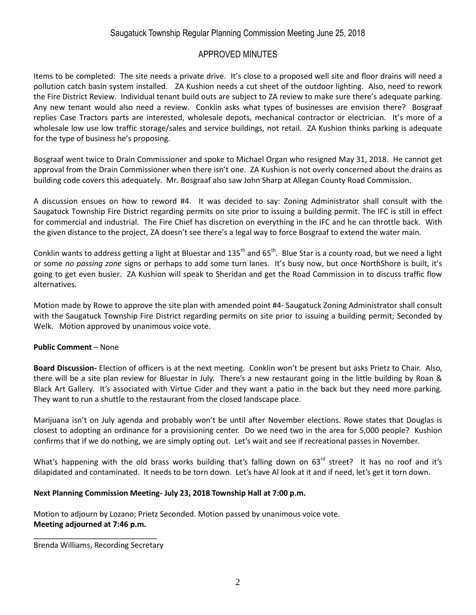# Saugatuck Township Regular Planning Commission Meeting June 25, 2018

### APPROVED MINUTES

Items to be completed: The site needs a private drive. It's close to a proposed well site and floor drains will need a pollution catch basin system installed. ZA Kushion needs a cut sheet of the outdoor lighting. Also, need to rework the Fire District Review. Individual tenant build outs are subject to ZA review to make sure there's adequate parking. Any new tenant would also need a review. Conklin asks what types of businesses are envision there? Bosgraaf replies Case Tractors parts are interested, wholesale depots, mechanical contractor or electrician. It's more of a wholesale low use low traffic storage/sales and service buildings, not retail. ZA Kushion thinks parking is adequate for the type of business he's proposing.

Bosgraaf went twice to Drain Commissioner and spoke to Michael Organ who resigned May 31, 2018. He cannot get approval from the Drain Commissioner when there isn't one. ZA Kushion is not overly concerned about the drains as building code covers this adequately. Mr. Bosgraaf also saw John Sharp at Allegan County Road Commission.

A discussion ensues on how to reword #4. It was decided to say: Zoning Administrator shall consult with the Saugatuck Township Fire District regarding permits on site prior to issuing a building permit. The IFC is still in effect for commercial and industrial. The Fire Chief has discretion on everything in the IFC and he can throttle back. With the given distance to the project, ZA doesn't see there's a legal way to force Bosgraaf to extend the water main.

Conklin wants to address getting a light at Bluestar and 135<sup>th</sup> and 65<sup>th</sup>. Blue Star is a county road, but we need a light or some *no passing zone* signs or perhaps to add some turn lanes. It's busy now, but once NorthShore is built, it's going to get even busier. ZA Kushion will speak to Sheridan and get the Road Commission in to discuss traffic flow alternatives.

Motion made by Rowe to approve the site plan with amended point #4- Saugatuck Zoning Administrator shall consult with the Saugatuck Township Fire District regarding permits on site prior to issuing a building permit; Seconded by Welk. Motion approved by unanimous voice vote.

### **Public Comment** – None

**Board Discussion-** Election of officers is at the next meeting. Conklin won't be present but asks Prietz to Chair. Also, there will be a site plan review for Bluestar in July. There's a new restaurant going in the little building by Roan & Black Art Gallery. It's associated with Virtue Cider and they want a patio in the back but they need more parking. They want to run a shuttle to the restaurant from the closed landscape place.

Marijuana isn't on July agenda and probably won't be until after November elections. Rowe states that Douglas is closest to adopting an ordinance for a provisioning center. Do we need two in the area for 5,000 people? Kushion confirms that if we do nothing, we are simply opting out. Let's wait and see if recreational passes in November.

What's happening with the old brass works building that's falling down on  $63<sup>rd</sup>$  street? It has no roof and it's dilapidated and contaminated. It needs to be torn down. Let's have Al look at it and if need, let's get it torn down.

### **Next Planning Commission Meeting- July 23, 2018 Township Hall at 7:00 p.m.**

Motion to adjourn by Lozano; Prietz Seconded. Motion passed by unanimous voice vote. **Meeting adjourned at 7:46 p.m.**

\_\_\_\_\_\_\_\_\_\_\_\_\_\_\_\_\_\_\_\_\_\_\_\_\_\_\_\_\_ Brenda Williams, Recording Secretary